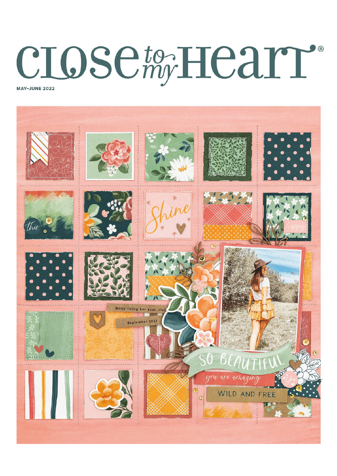# CIOSetty:Hearr®

**MAY-JUNE 2022** 

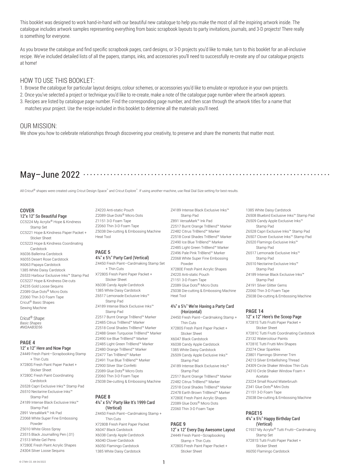This booklet was designed to work hand-in-hand with our beautiful new catalogue to help you make the most of all the inspiring artwork inside. The catalogue includes artwork samples representing everything from basic scrapbook layouts to party invitations, journals, and 3-D projects! There really is something for everyone.

As you browse the catalogue and find specific scrapbook pages, card designs, or 3-D projects you'd like to make, turn to this booklet for an all-inclusive recipe. We've included detailed lists of all the papers, stamps, inks, and accessories you'll need to successfully re-create any of our cataloque projects at home!

# HOW TO USE THIS BOOKLET:

- 1. Browse the cataloque for particular layout designs, colour schemes, or accessories you'd like to emulate or reproduce in your own projects.
- 2. Once you've selected a project or technique you'd like to re-create, make a note of the cataloque page number where the artwork appears.
- 3. Recipes are listed by catalogue page number. Find the corresponding page number, and then scan through the artwork titles for a name that matches your project. Use the recipe included in this booklet to determine all the materials you'll need.

# OUR MISSION:

We show you how to celebrate relationships through discovering your creativity, to preserve and share the moments that matter most.

# May–June 2022

All Cricut® shapes were created using Cricut Design Space™ and Cricut Explore™. If using another machine, use Real Dial Size setting for best results.

## **COVER**

12"x 12" So Beautiful Page CC5224 My Acrylix® Hope & Kindness Stamp Set CC5221 Hope & Kindness Paper Packet + Sticker Sheet CC5223 Hope & Kindness Coordinating Cardstock X6036 Ballerina Cardstock X6055 Desert Rose Cardstock X6063 Papaya Cardstock 1385 White Daisy Cardstock Z6533 Harbour Exclusive Inks™ Stamp Pad X7280S Fresh Paint Paper Packet + CC5227 Hope & Kindness Die-cuts Z4235 Gold Loose Sequins Z2089 Glue Dots® Micro Dots Z2060 Thin 3-D Foam Tape Cricut® Basic Shapes Sewing Machine

Cricut® Shape: *Basic Shapes #M2AAB3D56*

#### **PAGE 4**

12" x 12" Here and Now Page

Z4449 Fresh Paint—Scrapbooking Stamp + Thin Cuts X7280S Fresh Paint Paper Packet + Sticker Sheet X7280C Fresh Paint Coordinating Cardstock Z6528 Capri Exclusive Inks™ Stamp Pad Z6510 Nectarine Exclusive Inks™ Stamp Pad Z4189 Intense Black Exclusive Inks™ Stamp Pad Z891 VersaMark™ Ink Pad Z2068 White Super Fine Embossing Powder Z5010 White Gloss Spray Z3515 Black Journalling Pen (.01) Z1513 White Gel Pens X7280E Fresh Paint Acrylic Shapes Z4304 Silver Loose Sequins

Z4220 Anti-static Pouch Z2089 Glue Dots® Micro Dots Z1151 3-D Foam Tape Z2060 Thin 3-D Foam Tape Z5038 Die-cutting & Embossing Machine Heat Tool

## **PAGE 5**

# 4¼" x 5½" Party Card (Vertical)

Z4450 Fresh Paint—Cardmaking Stamp Set + Thin Cuts Sticker Sheet X6038 Candy Apple Cardstock 1385 White Daisy Cardstock Z6517 Lemonade Exclusive Inks™ Stamp Pad Z4189 Intense Black Exclusive Inks™ Stamp Pad Z2517 Burnt Orange TriBlend™ Marker Z2485 Citrus TriBlend™ Marker Z2518 Coral Shades TriBlend™ Marker Z2488 Green Turquoise TriBlend™ Marker Z2490 Ice Blue TriBlend™ Marker Z2485 Light Green TriBlend™ Marker Z2480 Orange TriBlend™ Marker Z2477 Tan TriBlend™ Marker Z2491 True Blue TriBlend™ Marker Z2900 Silver Star Confetti Z2089 Glue Dots® Micro Dots Z2060 Thin 3-D Foam Tape Z5038 Die-cutting & Embossing Machine

#### **PAGE 8** 4¼" x 5½" Party like It's 1999 Card (Vertical)

Z4450 Fresh Paint—Cardmaking Stamp + Thin Cuts X7280B Fresh Paint Paper Packet X6047 Black Cardstock X6038 Candy Apple Cardstock X6040 Clover Cardstock X6050 Flamingo Cardstock 1385 White Daisy Cardstock

Z4189 Intense Black Exclusive Inks™ Stamp Pad

Z891 VersaMark™ Ink Pad Z2517 Burnt Orange TriBlend™ Marker Z2482 Citrus TriBlend™ Marker Z2518 Coral Shades TriBlend™ Marker Z2490 Ice Blue TriBlend™ Marker Z2485 Light Green TriBlend™ Marker Z2496 Pale Pink TriBlend™ Marker Z2068 White Super Fine Embossing Powder X7280E Fresh Paint Acrylic Shapes Z4220 Anti-static Pouch Z1151 3-D Foam Tape Z2089 Glue Dots® Micro Dots Z5038 Die-cutting & Embossing Machine Heat Tool

#### 4¼" x 5½" We're Having a Party Card (Horizontal)

Z4450 Fresh Paint—Cardmaking Stamp + Thin Cuts X7280S Fresh Paint Paper Packet + Sticker Sheet X6047 Black Cardstock X6038 Candy Apple Cardstock 1385 White Daisy Cardstock Z6509 Candy Apple Exclusive Inks™ Stamp Pad Z4189 Intense Black Exclusive Inks™ Stamp Pad Z2517 Burnt Orange TriBlend™ Marker Z2482 Citrus TriBlend™ Marker Z2518 Coral Shades TriBlend™ Marker Z2478 Earth Brown TriBlend™ Marker X7280E Fresh Paint Acrylic Shapes Z2089 Glue Dots® Micro Dots Z2060 Thin 3-D Foam Tape

## **PAGE 9**

12" x 12" Every Day Awesome Layout Z4449 Fresh Paint—Scrapbooking Stamp + Thin Cuts

X7280S Fresh Paint Paper Packet + Sticker Sheet

Z6508 Bluebird Exclusive Inks™ Stamp Pad Z6509 Candy Apple Exclusive Inks™ Stamp Pad Z6528 Capri Exclusive Inks™ Stamp Pad Z6507 Clover Exclusive Inks™ Stamp Pad Z6520 Flamingo Exclusive Inks™ Stamp Pad Z6517 Lemonade Exclusive Inks™ Stamp Pad Z6510 Nectarine Exclusive Inks™ Stamp Pad Z4189 Intense Black Exclusive Inks™ Stamp Pad Z4191 Silver Glitter Gems Z2060 Thin 3-D Foam Tape Z5038 Die-cutting & Embossing Machine

1385 White Daisy Cardstock

# **PAGE 14**

12" x 12" Here's the Scoop Page X7281S Tutti Frutti Paper Packet + Sticker Sheet X7281C Tutti Frutti Coordinating Cardstock Z3132 Watercolour Paints X7281E Tutti Frutti Mini Shapes Z3274 Clear Sparkles Z3801 Flamingo Shimmer Trim Z4213 Silver Embellishing Thread Z4309 Circle Shaker Window Thin Cuts Z4310 Circle Shaker Window Foam + Acetate Z3224 Small Round Waterbrush Z341 Glue Dots® Mini Dots Z1151 3-D Foam Tape Z5038 Die-cutting & Embossing Machine

# **PAGE15**

#### 4¼" x 5½" Happy Birthday Card (Vertical)

C1937 My Acrylix® Tutti Frutti—Cardmaking Stamp Set X7281S Tutti Frutti Paper Packet + Sticker Sheet X6050 Flamingo Cardstock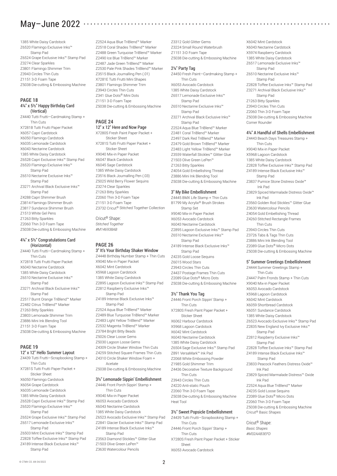1385 White Daisy Cardstock Z6520 Flamingo Exclusive Inks™ Stamp Pad Z6524 Grape Exclusive Inks™ Stamp Pad Z3274 Clear Sparkles Z3801 Flamingo Shimmer Trim Z3943 Circles Thin Cuts Z1151 3-D Foam Tape Z5038 Die-cutting & Embossing Machine

#### **PAGE 18** 4¼" x 5½" Happy Birthday Card (Vertical)

Z4440 Tutti Frutti—Cardmaking Stamp + Thin Cuts X7281B Tutti Frutti Paper Packet X6057 Capri Cardstock X6050 Flamingo Cardstock X6035 Lemonade Cardstock X6043 Nectarine Cardstock 1385 White Daisy Cardstock Z6528 Capri Exclusive Inks™ Stamp Pad Z6520 Flamingo Exclusive Inks™ Stamp Pad Z6510 Nectarine Exclusive Inks™ Stamp Pad Z3271 Archival Black Exclusive Inks™ Stamp Pad Z4288 Capri Shimmer Brush Z3814 Flamingo Shimmer Brush Z3817 Sundance Shimmer Brush Z1513 White Gel Pens Z1263 Bitty Sparkles Z2060 Thin 3-D Foam Tape

#### 4¼" x 5½" Congratulations Card (Horizontal)

Z5038 Die-cutting & Embossing Machine

Z4440 Tutti Frutti—Cardmaking Stamp + Thin Cuts X7281B Tutti Frutti Paper Packet X6043 Nectarine Cardstock 1385 White Daisy Cardstock Z6510 Nectarine Exclusive Inks™ Stamp Pad Z3271 Archival Black Exclusive Inks™ Stamp Pad Z2517 Burnt Orange TriBlend™ Marker Z2482 Citrus TriBlend™ Marker Z1263 Bitty Sparkles Z3803 Lemonade Shimmer Trim Z3886 Mini Ink Blending Tool Z1151 3-D Foam Tape Z5038 Die-cutting & Embossing Machine

# **PAGE 19**

12" x 12" Hello Summer Layout

Z4439 Tutti Frutti—Scrapbooking Stamp + Thin Cuts X7281S Tutti Frutti Paper Packet + Sticker Sheet X6050 Flamingo Cardstock X6054 Grape Cardstock X6035 Lemonade Cardstock 1385 White Daisy Cardstock Z6528 Capri Exclusive Inks™ Stamp Pad Z6520 Flamingo Exclusive Inks™ Stamp Pad Z6524 Grape Exclusive Inks™ Stamp Pad Z6517 Lemonade Exclusive Inks™ Stamp Pad Z6503 Mint Exclusive Inks™ Stamp Pad Z2828 Toffee Exclusive Inks™ Stamp Pad Z4189 Intense Black Exclusive Inks™ Stamp Pad

Z2524 Aqua Blue TriBlend™ Marker Z2518 Coral Shades TriBlend™ Marker Z2488 Green Turquoise TriBlend™ Marker Z2490 Ice Blue TriBlend™ Marker Z2487 Jade Green TriBlend™ Marker Z2530 Pale Pink Shades TriBlend™ Marker Z3515 Black Journalling Pen (.01) X7281E Tutti Frutti Mini Shapes Z3801 Flamingo Shimmer Trim Z3943 Circles Thin Cuts Z341 Glue Dots® Mini Dots Z1151 3-D Foam Tape Z5038 Die-cutting & Embossing Machine

# **PAGE 24**

12" x 12" Here and Now Page X7280S Fresh Paint Paper Packet + Sticker Sheet X7281S Tutti Frutti Paper Packet + Sticker Sheet X9040 Mix-in Paper Packet X6047 Black Cardstock X6045 Sage Cardstock 1385 White Daisy Cardstock Z3516 Black Journalling Pen (.03) Z5025 Wild Berry Flower Sequins Z3274 Clear Sparkles Z1263 Bitty Sparkles Z2060 Thin 3-D Foam Tape Z1151 3-D Foam Tape Z3732 Cricut® Stitched Together Collection

Cricut® Shape: *Stitched Together #M146938AB*

# **PAGE 26**

3" It's Your Birthday Shaker Window Z4448 Birthday Number Stamp + Thin Cuts X9040 Mix-in Paper Packet X6042 Mint Cardstock X5968 Lagoon Cardstock 1385 White Daisy Cardstock Z2895 Lagoon Exclusive Inks™ Stamp Pad Z2812 Raspberry Exclusive Inks™ Stamp Pad Z4189 Intense Black Exclusive Inks™ Stamp Pad Z2524 Aqua Blue TriBlend™ Marker Z2489 Blue Turquoise TriBlend™ Marker Z2483 Light Yellow TriBlend™ Marker Z2532 Magenta TriBlend™ Marker Z3784 Bright Bitty Beads Z5026 Clear Loose Gems Z5030 Lagoon Loose Gems Z4309 Circle Shaker Window Thin Cuts Z4259 Stitched Square Frames Thin Cuts Z4310 Circle Shaker Window Foam + Acetate Z5038 Die-cutting & Embossing Machine 3½" Lemonade Sippin' Embellishment

# Z4446 Front Porch Sippin' Stamp +

Thin Cuts X9040 Mix-in Paper Packet X6053 Avocado Cardstock X6043 Nectarine Cardstock 1385 White Daisy Cardstock Z6523 Avocado Exclusive Inks™ Stamp Pad Z2841 Glacier Exclusive Inks™ Stamp Pad Z4189 Intense Black Exclusive Inks™ Stamp Pad Z3563 Diamond Stickles™ Glitter Glue Z1503 Olive Green LePen Z3630 Watercolour Pencils

Z3312 Gold Glitter Gems Z3224 Small Round Waterbrush Z1151 3-D Foam Tape Z5038 Die-cutting & Embossing Machine

#### 2¼" Party Tag

Z4450 Fresh Paint—Cardmaking Stamp + Thin Cuts X6053 Avocado Cardstock 1385 White Daisy Cardstock Z6517 Lemonade Exclusive Inks™ Stamp Pad Z6510 Nectarine Exclusive Inks™ Stamp Pad Z3271 Archival Black Exclusive Inks™ Stamp Pad Z2524 Aqua Blue TriBlend™ Marker Z2481 Coral TriBlend™ Marker Z2497 Dark Red TriBlend™ Marker Z2479 Gold Brown TriBlend™ Marker Z2483 Light Yellow TriBlend™ Marker Z3559 Waterfall Stickles™ Glitter Glue Z1503 Olive Green LePen™ Z1263 Bitty Sparkles Z4054 Gold Embellishing Thread Z3886 Mini Ink Blending Tool Z5038 Die-cutting & Embossing Machine

## 3" My Bike Embellishment

Z4445 BMX Life Stamp + Thin Cuts B1799 My Acrylix® Brush Strokes Stamp Set X9040 Mix-in Paper Packet X6053 Avocado Cardstock X6043 Nectarine Cardstock Z2895 Lagoon Exclusive Inks™ Stamp Pad Z6510 Nectarine Exclusive Inks™ Stamp Pad Z4189 Intense Black Exclusive Inks™ Stamp Pad Z4235 Gold Loose Sequins Z6015 Wood Stars Z3943 Circles Thin Cuts Z4437 Postage Frames Thin Cuts Z2089 Glue Dots® Micro Dots Z5038 Die-cutting & Embossing Machine

# 3½" Thank You Tag

Z4446 Front Porch Sippin' Stamp + Thin Cuts X7280S Fresh Paint Paper Packet + Sticker Sheet X6062 Harbour Cardstock X5968 Lagoon Cardstock X6042 Mint Cardstock X6043 Nectarine Cardstock 1385 White Daisy Cardstock Z6504 Sage Exclusive Inks™ Stamp Pad Z891 VersaMark™ Ink Pad Z2068 White Embossing Powder Z1985 Gold Shimmer Trim Z4436 Decorative Texture Background Thin Cuts Z3943 Circles Thin Cuts Z4220 Anti-static Pouch Z2060 Thin 3-D Foam Tape Z5038 Die-cutting & Embossing Machine Heat Tool

## 3½" Sweet Popsicle Embellishment

Z4439 Tutti Frutti—Scrapbooking Stamp + Thin Cuts Z4446 Front Porch Sippin' Stamp + Thin Cuts X7280S Fresh Paint Paper Packet + Sticker Sheet X6053 Avocado Cardstock

X6042 Mint Cardstock X6043 Nectarine Cardstock X5974 Raspberry Cardstock 1385 White Daisy Cardstock Z6517 Lemonade Exclusive Inks™ Stamp Pad Z6510 Nectarine Exclusive Inks™ Stamp Pad Z2828 Toffee Exclusive Inks™ Stamp Pad Z3271 Archival Black Exclusive Inks™ Stamp Pad Z1263 Bitty Sparkles Z3943 Circles Thin Cuts Z2060 Thin 3-D Foam Tape Z5038 Die-cutting & Embossing Machine Corner Rounder

#### 4¼" A Handful of Shells Embellishment

Z4443 Beach Days Treasures Stamp + Thin Cuts X9040 Mix-in Paper Packet X5968 Lagoon Cardstock 1385 White Daisy Cardstock Z2828 Toffee Exclusive Inks™ Stamp Pad Z4189 Intense Black Exclusive Inks™ Stamp Pad Z3837 Pumice Stone Distress Oxide™ Ink Pad Z3829 Spiced Marmalade Distress Oxide™ Ink Pad Z3560 Golden Rod Stickles™ Glitter Glue Z3630 Watercolour Pencils Z4054 Gold Embellishing Thread Z4260 Stitched Rectangle Frames Thin Cuts Z3943 Circles Thin Cuts Z3726 Tabs & Tags Thin Cuts Z3886 Mini Ink Blending Tool Z2089 Glue Dots® Micro Dots Z5038 Die-cutting & Embossing Machine

#### 5" Summer Greetings Embellishment

Z4444 Summer Greetings Stamp + Thin Cuts Z4447 Palm Fronds Stamp + Thin Cuts X9040 Mix-in Paper Packet X6053 Avocado Cardstock X5968 Lagoon Cardstock X6042 Mint Cardstock X6059 Shortbread Cardstock X6051 Sundance Cardstock 1385 White Daisy Cardstock Z6523 Avocado Exclusive Inks™ Stamp Pad Z2835 New England Ivy Exclusive Inks™ Stamp Pad Z2812 Raspberry Exclusive Inks™ Stamp Pad Z2828 Toffee Exclusive Inks™ Stamp Pad Z4189 Intense Black Exclusive Inks™ Stamp Pad Z3833 Peacock Feathers Distress Oxide™ Ink Pad Z3829 Spiced Marmalade Distress™ Oxide Ink Pad Z2524 Aqua Blue TriBlend™ Marker Z4235 Gold Loose Sequins Z2089 Glue Dots® Micro Dots Z2060 Thin 3-D Foam Tape Z5038 Die-cutting & Embossing Machine Cricut® Basic Shapes

Cricut® Shape: *Basic Shapes #M32AAB3EFD*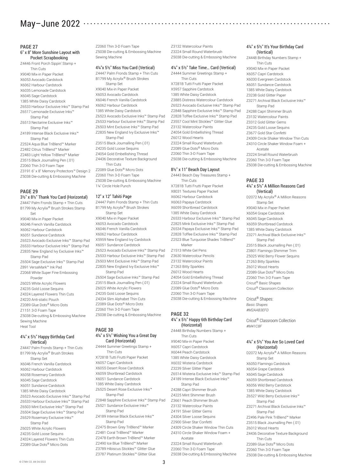**PAGE 27** 6" x 8" More Sunshine Layout with Pocket Scrapbooking Z4446 Front Porch Sippin' Stamp + Thin Cuts X9040 Mix-in Paper Packet X6053 Avocado Cardstock X6062 Harbour Cardstock X6035 Lemonade Cardstock X6045 Sage Cardstock 1385 White Daisy Cardstock Z6533 Harbour Exclusive Inks™ Stamp Pad Z6517 Lemonade Exclusive Inks™ Stamp Pad Z6513 Nectarine Exclusive Inks™ Stamp Pad Z4189 Intense Black Exclusive Inks™ Stamp Pad Z2524 Aqua Blue TriBlend™ Marker Z2482 Citrus TriBlend™ Marker Z2483 Light Yellow TriBlend™ Marker Z3515 Black Journalling Pen (.01) Z2060 Thin 3-D Foam Tape Z3191 6" x 8" Memory Protectors™ Design 2 Z5038 Die-cutting & Embossing Machine

#### **PAGE 29**

3½" x 8½" Thank You Card (Horizontal) Z4447 Palm Fronds Stamp + Thin Cuts B1799 My Acrylix® Brush Strokes Stamp  $\mathcal{L}_{\mathsf{C}}$ X9040 Mix-in Paper Packet X6046 French Vanilla Cardstock X6062 Harbour Cardstock X6051 Sundance Cardstock Z6523 Avocado Exclusive Inks™ Stamp Pad Z6533 Harbour Exclusive Inks™ Stamp Pad Z2835 New England Ivy Exclusive Inks™ Stamp Pad Z6504 Sage Exclusive Inks™ Stamp Pad Z891 VersaMark™ Ink Pad Z2068 White Super Fine Embossing Powder Z6025 White Acrylic Flowers Z4235 Gold Loose Sequins Z4324 Layered Flowers Thin Cuts Z4220 Anti-static Pouch Z2089 Glue Dots® Micro Dots Z1151 3-D Foam Tape Z5038 Die-cutting & Embossing Machine

Sewing Machine Heat Tool

#### 4¼" x 5½" Happy Birthday Card (Vertical)

Z4447 Palm Fronds Stamp + Thin Cuts B1799 My Acrylix® Brush Strokes Stamp Set X6046 French Vanilla Cardstock X6062 Harbour Cardstock X6058 Rosemary Cardstock X6045 Sage Cardstock X6051 Sundance Cardstock 1385 White Daisy Cardstock Z6523 Avocado Exclusive Inks™ Stamp Pad Z6533 Harbour Exclusive Inks™ Stamp Pad Z6503 Mint Exclusive Inks™ Stamp Pad Z6504 Sage Exclusive Inks™ Stamp Pad Z6529 Rosemary Exclusive Inks™ Stamp Pad Z6025 White Acrylic Flowers Z4235 Gold Loose Sequins Z4324 Layered Flowers Thin Cuts Z2089 Glue Dots® Micro Dots

Z2060 Thin 3-D Foam Tape Z5038 Die-cutting & Embossing Machine Sewing Machine

#### 4¼"x 5½" Miss You Card (Vertical)

Z4447 Palm Fronds Stamp + Thin Cuts B1799 My Acrylix® Brush Strokes Stamp Set X9040 Mix-in Paper Packet X6053 Avocado Cardstock X6046 French Vanilla Cardstock X6062 Harbour Cardstock 1385 White Daisy Cardstock Z6523 Avocado Exclusive Inks™ Stamp Pad Z6533 Harbour Exclusive Inks™ Stamp Pad Z6503 Mint Exclusive Inks™ Stamp Pad Z2835 New England Ivy Exclusive Inks™ Stamp Pad Z3515 Black Journalling Pen (.01) Z4235 Gold Loose Sequins Z4054 Gold Embellishing Thread Z4436 Decorative Texture Background Thin Cuts Z2089 Glue Dots® Micro Dots Z2060 Thin 3-D Foam Tape Z5038 Die-cutting & Embossing Machine 1¼" Circle Hole Punch

#### 12" x 12" Tahiti Page

Z4447 Palm Fronds Stamp + Thin Cuts B1799 My Acrylix® Brush Strokes Stamp Set X9040 Mix-in Paper Packet X6053 Avocado Cardstock X6046 French Vanilla Cardstock X6062 Harbour Cardstock X5959 New England Ivy Cardstock X6051 Sundance Cardstock Z6523 Avocado Exclusive Inks™ Stamp Pad Z6533 Harbour Exclusive Inks™ Stamp Pad Z6503 Mint Exclusive Inks™ Stamp Pad Z2835 New England Ivy Exclusive Inks™ Stamp Pad Z6504 Sage Exclusive Inks™ Stamp Pad Z3515 Black Journalling Pen (.01) Z6025 White Acrylic Flowers Z4235 Gold Loose Sequins Z4334 Slim Alphabet Thin Cuts Z2089 Glue Dots® Micro Dots Z2060 Thin 3-D Foam Tape Z5038 Die-cutting & Embossing Machine

# **PAGE 30**

## 4¼" x 5½" Wishing You a Great Day Card (Horizontal)

Z4444 Summer Greetings Stamp + Thin Cuts X7281B Tutti Frutti Paper Packet X6057 Capri Cardstock X6055 Desert Rose Cardstock X6059 Shortbread Cardstock X6051 Sundance Cardstock 1385 White Daisy Cardstock Z6525 Desert Rose Exclusive Inks™ Stamp Pad Z2848 Sapphire Exclusive Inks™ Stamp Pad Z6521 Sundance Exclusive Inks™ Stamp Pad Z4189 Intense Black Exclusive Inks™ Stamp Pad Z2475 Brown Grey TriBlend™ Marker Z2481 Coral TriBlend™ Marker Z2478 Earth Brown TriBlend™ Marker Z2490 Ice Blue TriBlend™ Marker Z3789 Hibiscus Stickles™ Glitter Glue Z3787 Platinum Stickles™ Glitter Glue

Z3132 Watercolour Paints Z3224 Small Round Waterbrush Z5038 Die-cutting & Embossing Machine

#### 4¼" x 5½" Take Time… Card (Vertical)

Z4444 Summer Greetings Stamp + Thin Cuts

X7281B Tutti Frutti Paper Packet X5957 Sapphire Cardstock 1385 White Daisy Cardstock Z3885 Distress Watercolour Cardstock Z6523 Avocado Exclusive Inks™ Stamp Pad Z2848 Sapphire Exclusive Inks™ Stamp Pad Z2828 Toffee Exclusive Inks™ Stamp Pad Z3557 Cool Mint Stickles™ Glitter Glue Z3132 Watercolour Paints Z4054 Gold Embellishing Thread Z6012 Wood Hearts Z3224 Small Round Waterbrush Z2089 Glue Dots® Micro Dots Z2060 Thin 3-D Foam Tape Z5038 Die-cutting & Embossing Machine

#### 8½" x 11" Beach Day Layout

Z4443 Beach Day Treasures Stamp + Thin Cuts X7281B Tutti Frutti Paper Packet X8031 Textures Paper Packet X6062 Harbour Cardstock X6063 Papaya Cardstock X6059 Shortbread Cardstock 1385 White Daisy Cardstock Z6533 Harbour Exclusive Inks™ Stamp Pad Z2825 Mink Exclusive Inks™ Stamp Pad Z6534 Papaya Exclusive Inks™ Stamp Pad Z2828 Toffee Exclusive Inks™ Stamp Pad Z2523 Blue Turquoise Shades TriBlend™ Marker Z1513 White Gel Pens Z3630 Watercolour Pencils Z3132 Watercolour Paints Z1263 Bitty Sparkles Z6012 Wood Hearts Z4054 Gold Embellishing Thread Z3224 Small Round Waterbrush Z2089 Glue Dots® Micro Dots Z2060 Thin 3-D Foam Tape Z5038 Die-cutting & Embossing Machine

## **PAGE 32**

#### 4¼" x 5½" Happy 6th Birthday Card (Horizontal)

Z4448 Birthday Numbers Stamp + Thin Cuts X9040 Mix-in Paper Packet X6057 Capri Cardstock X6044 Peach Cardstock 1385 White Daisy Cardstock X6032 Wisteria Cardstock Z3239 Silver Glitter Paper Z6514 Wisteria Exclusive Inks™ Stamp Pad Z4189 Intense Black Exclusive Inks™ Stamp Pad Z4288 Capri Shimmer Brush Z4225 Mint Shimmer Brush Z3661 Peach Shimmer Brush Z3132 Watercolour Paints Z4191 Silver Glitter Gems Z4304 Silver Loose Sequins Z2900 Silver Star Confetti Z4309 Circle Shaker Window Thin Cuts Z4310 Circle Shaker Window Foam + Acetate Z3224 Small Round Waterbrush Z2060 Thin 3-D Foam Tape Z5038 Die-cutting & Embossing Machine

#### 4¼" x 5½" It's Your Birthday Card (Vertical)

Z4448 Birthday Numbers Stamp + Thin Cuts X9040 Mix-in Paper Packet X6057 Capri Cardstock X6030 Evergreen Cardstock X6051 Sundance Cardstock 1385 White Daisy Cardstock Z3238 Gold Glitter Paper Z3271 Archival Black Exclusive Inks™ Stamp Pad Z4288 Capri Shimmer Brush Z3132 Watercolour Paints Z3312 Gold Glitter Gems Z4235 Gold Loose Sequins Z3677 Gold Star Confetti Z4309 Circle Shaker Window Thin Cuts Z4310 Circle Shaker Window Foam + Acetate Z3224 Small Round Waterbrush Z2060 Thin 3-D Foam Tape Z5038 Die-cutting & Embossing Machine

#### **PAGE 33** 4¼" x 5½" A Million Reasons Card (Vertical)

D2072 My Acrylix® A Million Reasons Stamp Set X9040 Mix-in Paper Packet X6054 Grape Cardstock X6045 Sage Cardstock X6059 Shortbread Cardstock 1385 White Daisy Cardstock Z3271 Archival Black Exclusive Inks™ Stamp Pad Z3515 Black Journalling Pen (.01) Z3801 Flamingo Shimmer Trim Z5025 Wild Berry Flower Sequins Z1263 Bitty Sparkles Z6012 Wood Hearts Z2089 Glue Dots® Micro Dots Z2060 Thin 3-D Foam Tape Cricut® Basic Shapes Cricut® Classroom Collection

Cricut® Shapes: *Basic Shapes #M2AAB3EFD*

Cricut® Classroom Collection *#M41C8F*

#### 4¼" x 5½" You Are So Loved Card (Horizontal)

D2072 My Acrylix® A Million Reasons Stamp Set X6050 Flamingo Cardstock X6054 Grape Cardstock X6045 Sage Cardstock X6059 Shortbread Cardstock X6056 Wild Berry Cardstock 1385 White Daisy Cardstock Z6527 Wild Berry Exclusive Inks™ Stamp Pad Z3271 Archival Black Exclusive Inks™ Stamp Pad Z2496 Pale Pink TriBlend™ Marker Z3515 Black Journalling Pen (.01) Z6012 Wood Hearts Z4436 Decorative Texture Background Thin Cuts Z2089 Glue Dots® Micro Dots Z2060 Thin 3-D Foam Tape Z5038 Die-cutting & Embossing Machine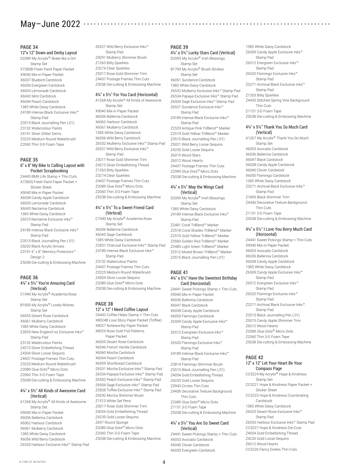#### **PAGE 34**

12"x 12" Down and Derby Layout D2089 My Acrylix® Skate like a Girl Stamp Set X7280B Fresh Paint Paper Packet X9040 Mix-in Paper Packet X6037 Bluebird Cardstock X6030 Evergreen Cardstock X6035 Lemonade Cardstock X6042 Mint Cardstock X6044 Peach Cardstock 1385 White Daisy Cardstock Z4189 Intense Black Exclusive Inks™ Stamp Pad Z3515 Black Journalling Pen (.01) Z3132 Watercolour Paints Z4191 Silver Glitter Gems Z3225 Medium Round Waterbrush Z2060 Thin 3-D Foam Tape

#### **PAGE 35** 6" x 8" My Bike Is Calling Layout with Pocket Scrapbooking

Z4445 BMX Life Stamp + Thin Cuts X7280S Fresh Paint Paper Packet + Sticker Sheet X9040 Mix-in Paper Packet X6038 Candy Apple Cardstock X6035 Lemonade Cardstock X6043 Nectarine Cardstock 1385 White Daisy Cardstock Z6510 Nectarine Exclusive Inks™ Stamp Pad Z4189 Intense Black Exclusive Inks™ Stamp Pad Z3515 Black Journalling Pen (.01) Z6020 Black Acrylic Arrows Z3191 6" x 8" Memory Protectors™ Design 2 Z5038 Die-cutting & Embossing Machine

## **PAGE 36** 4¼" x 5½" You're Amazing Card

(Vertical) C1940 My Acrylix® Academia Rose Stamp Set B1800 My Acrylix® Lovely Wishes Stamp Set X6055 Desert Rose Cardstock X6061 Mulberry Cardstock 1385 White Daisy Cardstock Z2835 New England Ivy Exclusive Inks™ Stamp Pad Z3132 Watercolour Paints Z4213 Silver Embellishing Thread Z4304 Silver Loose Sequins Z4437 Postage Frames Thin Cuts Z3225 Medium Round Waterbrush Z2089 Glue Dots® Micro Dots Z2060 Thin 3-D Foam Tape Z5038 Die-cutting & Embossing Machine

#### 4¼" x 5½" All Kinds of Awesome Card (Vertical)

A1268 My Acrylix® All Kinds of Awesome Stamp Set X9040 Mix-in Paper Packet X6036 Ballerina Cardstock X6062 Harbour Cardstock X6061 Mulberry Cardstock 1385 White Daisy Cardstock X6056 Wild Berry Cardstock Z6533 Harbour Exclusive Inks™ Stamp Pad Z6527 Wild Berry Exclusive Inks™ Stamp Pad Z4291 Mulberry Shimmer Brush Z1263 Bitty Sparkles Z3274 Clear Sparkles Z5017 Rose Gold Shimmer Trim Z4437 Postage Frames Thin Cuts Z5038 Die-cutting & Embossing Machine

#### 4¼" x 5½" For You Card (Horizontal)

A1268 My Acrylix® All Kinds of Awesome Stamp Set X9040 Mix-in Paper Packet X6036 Ballerina Cardstock X6062 Harbour Cardstock X6061 Mulberry Cardstock 1385 White Daisy Cardstock X6056 Wild Berry Cardstock Z6532 Mulberry Exclusive Inks™ Stamp Pad Z6527 Wild Berry Exclusive Inks™ Stamp Pad Z5017 Rose Gold Shimmer Trim Z4213 Silver Embellishing Thread Z1263 Bitty Sparkles Z3274 Clear Sparkles Z4437 Postage Frames Thin Cuts Z2089 Glue Dots® Micro Dots Z2060 Thin 3-D Foam Tape Z5038 Die-cutting & Embossing Machine

#### 4¼" x 5½" To a Sweet Friend Card (Vertical)

C1940 My Acrylix® Academia Rose Stamp Set X6036 Ballerina Cardstock X6045 Sage Cardstock 1385 White Daisy Cardstock Z2831 Charcoal Exclusive Inks™ Stamp Pad Z4189 Intense Black Exclusive Inks™ Stamp Pad Z3132 Watercolour Paints Z4437 Postage Frames Thin Cuts Z3225 Medium Round Waterbrush Z4304 Silver Loose Sequins Z2089 Glue Dots® Micro Dots Z5038 Die-cutting & Embossing Machine

#### **PAGE 38** 12" x 12" I Need Coffee Layout

Z4442 Coffee Helps Stamp + Thin Cuts X8024B Love Story Paper Packet (Toffee) X8027 Noteworthy Paper Packet X8029 Rose Gold Foil Patterns Paper Packet X6055 Desert Rose Cardstock X6046 French Vanilla Cardstock X6060 Mocha Cardstock X6044 Peach Cardstock X6059 Shortbread Cardstock Z6531 Mocha Exclusive Inks™ Stamp Pad Z6534 Papaya Exclusive Inks™ Stamp Pad Z6502 Peach Exclusive Inks™ Stamp Pad Z6504 Sage Exclusive Inks™ Stamp Pad Z2828 Toffee Exclusive Inks™ Stamp Pad Z4292 Mocha Shimmer Brush Z1513 White Gel Pens Z5017 Rose Gold Shimmer Trim Z4054 Gold Embellishing Thread Z4235 Gold Loose Sequins Z697 Round Sponge Z2089 Glue Dots® Micro Dots Z2060 Thin 3-D Foam Tape Z5038 Die-cutting & Embossing Machine

#### **PAGE 39**

4¼" x 5½" Lucky Stars Card (Vertical) D2095 My Acrylix® Irish Blessings Stamp Set B1799 My Acrylix® Brush Strokes Stamp Set X6051 Sundance Cardstock 1385 White Daisy Cardstock Z6532 Mulberry Exclusive Inks™ Stamp Pad Z6534 Papaya Exclusive Inks™ Stamp Pad Z6504 Sage Exclusive Inks™ Stamp Pad Z6521 Sundance Exclusive Inks™ Stamp Pad Z4189 Intense Black Exclusive Inks™ Stamp Pad Z2529 Antique Pink TriBlend™ Marker Z2519 Gold Yellow TriBlend™ Marker Z3515 Black Journalling Pen (.01) Z5021 Wild Berry Loose Sequins Z4235 Gold Loose Sequins Z6015 Wood Stars Z6012 Wood Hearts Z4437 Postage Frames Thin Cuts Z2089 Glue Dots® Micro Dots Z5038 Die-cutting & Embossing Machine

#### 4¼" x 5½" May the Wings Card (Vertical)

D2095 My Acrylix® Irish Blessings Stamp Set 1385 White Daisy Cardstock Z4189 Intense Black Exclusive Inks™ Stamp Pad Z2481 Coral TriBlend™ Marker Z2518 Coral Shades TriBlend™ Marker Z2519 Gold Yellow TriBlend™ Marker Z3560 Golden Rod TriBlend™ Marker Z2485 Light Green TriBlend™ Marker Z2512 Muted Brown TriBlend™ Marker Z3515 Black Journalling Pen (.01)

#### **PAGE 41** 4¼" x 5½" Have the Sweetest Birthday Card (Horizontal)

Z4441 Sweet Pickings Stamp + Thin Cuts X9040 Mix-in Paper Packet X6036 Ballerina Cardstock X6047 Black Cardstock X6038 Candy Apple Cardstock X6050 Flamingo Cardstock Z6509 Candy Apple Exclusive Inks™ Stamp Pad Z6512 Evergreen Exclusive Inks™ Stamp Pad Z6520 Flamingo Exclusive Inks™ Stamp Pad Z4189 Intense Black Exclusive Inks™ Stamp Pad Z3814 Flamingo Shimmer Brush Z3515 Black Journalling Pen (.01) Z4054 Gold Embellishing Thread Z4235 Gold Loose Sequins Z3943 Circles Thin Cuts Z4436 Decorative Texture Background Thin Cuts Z2089 Glue Dots® Micro Dots Z1151 3-D Foam Tape Z5038 Die-cutting & Embossing Machine 4¼" x 5½" You Are So Sweet Card

(Vertical) Z4441 Sweet Pickings Stamp + Thin Cuts X6053 Avocado Cardstock X6040 Clover Cardstock X6030 Evergreen Cardstock

1385 White Daisy Cardstock Z6509 Candy Apple Exclusive Inks™ Stamp Pad Z6512 Evergreen Exclusive Inks™ Stamp Pad Z6520 Flamingo Exclusive Inks™ Stamp Pad Z3271 Archival Black Exclusive Inks™ Stamp Pad Z1263 Bitty Sparkles Z4435 Stitched Spring Vine Background Thin Cuts Z1151 3-D Foam Tape Z5038 Die-cutting & Embossing Machine

#### 4¼" x 5½" Thank You So Much Card (Vertical)

A1267 My Acrylix® Thank You So Much Stamp Set X6053 Avocado Cardstock X6036 Ballerina Cardstock X6047 Black Cardstock X6038 Candy Apple Cardstock X6040 Clover Cardstock X6050 Flamingo Cardstock 1385 White Daisy Cardstock Z3271 Archival Black Exclusive Inks™ Stamp Pad Z1809 Black Shimmer Trim Z4436 Decorative Texture Background Thin Cuts Z1151 3-D Foam Tape Z5038 Die-cutting & Embossing Machine

#### 4¼" x 5½" I Love You Berry Much Card (Horizontal)

Z4441 Sweet Pickings Stamp + Thin Cuts X9040 Mix-in Paper Packet X6053 Avocado Cardstock X6036 Ballerina Cardstock X6038 Candy Apple Cardstock 1385 White Daisy Cardstock Z6509 Candy Apple Exclusive Inks™ Stamp Pad Z6512 Evergreen Exclusive Inks™ Stamp Pad Z6520 Flamingo Exclusive Inks™ Stamp Pad Z3271 Archival Black Exclusive Inks™ Stamp Pad Z3515 Black Journalling Pen (.01) Z5015 Candy Apple Shimmer Trim Z6012 Wood Hearts Z2089 Glue Dots® Micro Dots Z2060 Thin 3-D Foam Tape Z5038 Die-cutting & Embossing Machine

#### **PAGE 42** 12" x 12" Let Your Heart Be Your Compass Page

CC5224 My Acrylix® Hope & Kindness Stamp Set CC5221 Hope & Kindness Paper Packet + Sticker Sheet CC5223 Hope & Kindness Coordinating Cardstock 1385 White Daisy Cardstock Z6525 Desert Rose Exclusive Inks™ Stamp Pad Z6533 Harbour Exclusive Inks™ Stamp Pad CC5227 Hope & Kindness Die-Cuts Z4054 Gold Embellishing Thread Z4235 Gold Loose Sequins Z6012 Wood Hearts CC5226 Fancy Doilies Thin Cuts